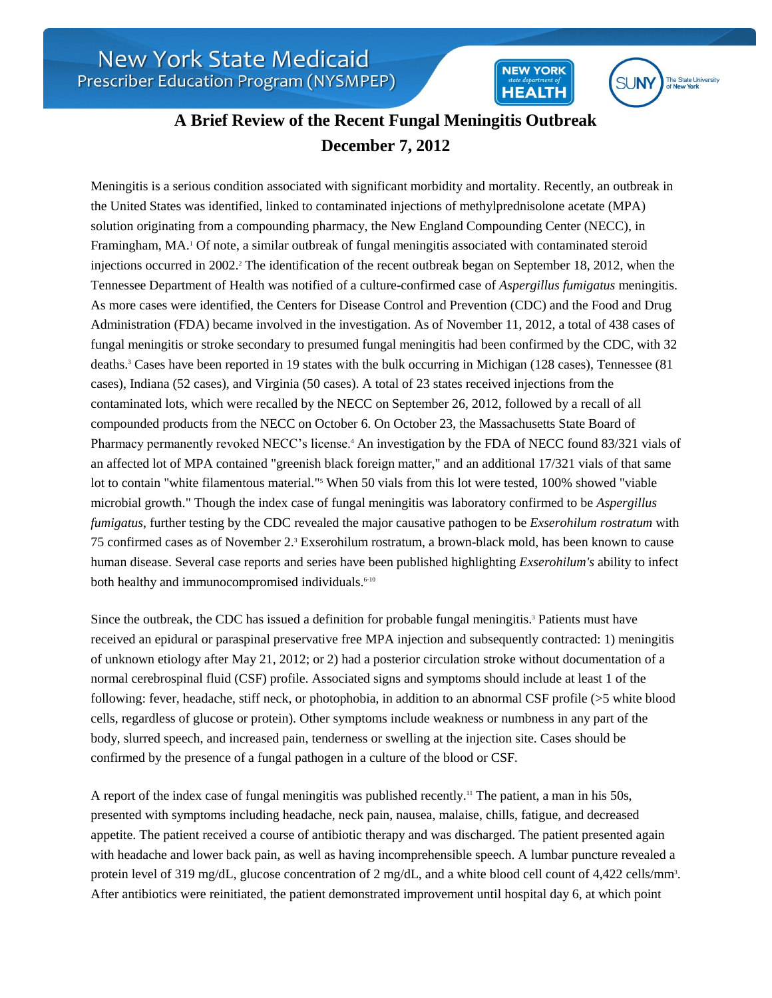

**NEW YORK** 

**HEALTH** 

## **A Brief Review of the Recent Fungal Meningitis Outbreak December 7, 2012**

Meningitis is a serious condition associated with significant morbidity and mortality. Recently, an outbreak in the United States was identified, linked to contaminated injections of methylprednisolone acetate (MPA) solution originating from a compounding pharmacy, the New England Compounding Center (NECC), in Framingham, MA.<sup>1</sup> Of note, a similar outbreak of fungal meningitis associated with contaminated steroid injections occurred in 2002.<sup>2</sup> The identification of the recent outbreak began on September 18, 2012, when the Tennessee Department of Health was notified of a culture-confirmed case of *Aspergillus fumigatus* meningitis. As more cases were identified, the Centers for Disease Control and Prevention (CDC) and the Food and Drug Administration (FDA) became involved in the investigation. As of November 11, 2012, a total of 438 cases of fungal meningitis or stroke secondary to presumed fungal meningitis had been confirmed by the CDC, with 32 deaths.<sup>3</sup> Cases have been reported in 19 states with the bulk occurring in Michigan (128 cases), Tennessee (81 cases), Indiana (52 cases), and Virginia (50 cases). A total of 23 states received injections from the contaminated lots, which were recalled by the NECC on September 26, 2012, followed by a recall of all compounded products from the NECC on October 6. On October 23, the Massachusetts State Board of Pharmacy permanently revoked NECC's license.<sup>4</sup> An investigation by the FDA of NECC found 83/321 vials of an affected lot of MPA contained "greenish black foreign matter," and an additional 17/321 vials of that same lot to contain "white filamentous material."<sup>5</sup> When 50 vials from this lot were tested, 100% showed "viable" microbial growth." Though the index case of fungal meningitis was laboratory confirmed to be *Aspergillus fumigatus*, further testing by the CDC revealed the major causative pathogen to be *Exserohilum rostratum* with 75 confirmed cases as of November 2.<sup>3</sup> Exserohilum rostratum, a brown-black mold, has been known to cause human disease. Several case reports and series have been published highlighting *Exserohilum's* ability to infect both healthy and immunocompromised individuals.<sup>6-10</sup>

Since the outbreak, the CDC has issued a definition for probable fungal meningitis.<sup>3</sup> Patients must have received an epidural or paraspinal preservative free MPA injection and subsequently contracted: 1) meningitis of unknown etiology after May 21, 2012; or 2) had a posterior circulation stroke without documentation of a normal cerebrospinal fluid (CSF) profile. Associated signs and symptoms should include at least 1 of the following: fever, headache, stiff neck, or photophobia, in addition to an abnormal CSF profile (>5 white blood cells, regardless of glucose or protein). Other symptoms include weakness or numbness in any part of the body, slurred speech, and increased pain, tenderness or swelling at the injection site. Cases should be confirmed by the presence of a fungal pathogen in a culture of the blood or CSF.

A report of the index case of fungal meningitis was published recently.<sup>11</sup> The patient, a man in his 50s, presented with symptoms including headache, neck pain, nausea, malaise, chills, fatigue, and decreased appetite. The patient received a course of antibiotic therapy and was discharged. The patient presented again with headache and lower back pain, as well as having incomprehensible speech. A lumbar puncture revealed a protein level of 319 mg/dL, glucose concentration of 2 mg/dL, and a white blood cell count of 4,422 cells/mm<sup>3</sup>. After antibiotics were reinitiated, the patient demonstrated improvement until hospital day 6, at which point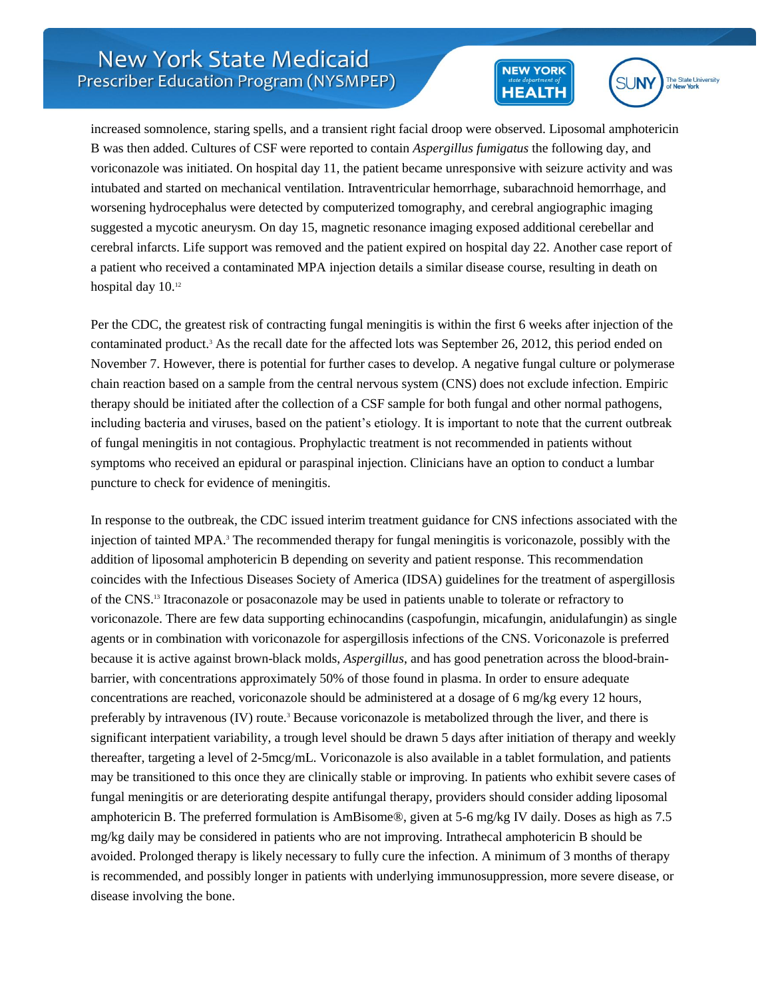



increased somnolence, staring spells, and a transient right facial droop were observed. Liposomal amphotericin B was then added. Cultures of CSF were reported to contain *Aspergillus fumigatus* the following day, and voriconazole was initiated. On hospital day 11, the patient became unresponsive with seizure activity and was intubated and started on mechanical ventilation. Intraventricular hemorrhage, subarachnoid hemorrhage, and worsening hydrocephalus were detected by computerized tomography, and cerebral angiographic imaging suggested a mycotic aneurysm. On day 15, magnetic resonance imaging exposed additional cerebellar and cerebral infarcts. Life support was removed and the patient expired on hospital day 22. Another case report of a patient who received a contaminated MPA injection details a similar disease course, resulting in death on hospital day  $10.^{12}$ 

Per the CDC, the greatest risk of contracting fungal meningitis is within the first 6 weeks after injection of the contaminated product.<sup>3</sup> As the recall date for the affected lots was September 26, 2012, this period ended on November 7. However, there is potential for further cases to develop. A negative fungal culture or polymerase chain reaction based on a sample from the central nervous system (CNS) does not exclude infection. Empiric therapy should be initiated after the collection of a CSF sample for both fungal and other normal pathogens, including bacteria and viruses, based on the patient's etiology. It is important to note that the current outbreak of fungal meningitis in not contagious. Prophylactic treatment is not recommended in patients without symptoms who received an epidural or paraspinal injection. Clinicians have an option to conduct a lumbar puncture to check for evidence of meningitis.

In response to the outbreak, the CDC issued interim treatment guidance for CNS infections associated with the injection of tainted MPA.<sup>3</sup> The recommended therapy for fungal meningitis is voriconazole, possibly with the addition of liposomal amphotericin B depending on severity and patient response. This recommendation coincides with the Infectious Diseases Society of America (IDSA) guidelines for the treatment of aspergillosis of the CNS.<sup>13</sup> Itraconazole or posaconazole may be used in patients unable to tolerate or refractory to voriconazole. There are few data supporting echinocandins (caspofungin, micafungin, anidulafungin) as single agents or in combination with voriconazole for aspergillosis infections of the CNS. Voriconazole is preferred because it is active against brown-black molds, *Aspergillus*, and has good penetration across the blood-brainbarrier, with concentrations approximately 50% of those found in plasma. In order to ensure adequate concentrations are reached, voriconazole should be administered at a dosage of 6 mg/kg every 12 hours, preferably by intravenous  $(IV)$  route.<sup>3</sup> Because voriconazole is metabolized through the liver, and there is significant interpatient variability, a trough level should be drawn 5 days after initiation of therapy and weekly thereafter, targeting a level of 2-5mcg/mL. Voriconazole is also available in a tablet formulation, and patients may be transitioned to this once they are clinically stable or improving. In patients who exhibit severe cases of fungal meningitis or are deteriorating despite antifungal therapy, providers should consider adding liposomal amphotericin B. The preferred formulation is AmBisome®, given at 5-6 mg/kg IV daily. Doses as high as 7.5 mg/kg daily may be considered in patients who are not improving. Intrathecal amphotericin B should be avoided. Prolonged therapy is likely necessary to fully cure the infection. A minimum of 3 months of therapy is recommended, and possibly longer in patients with underlying immunosuppression, more severe disease, or disease involving the bone.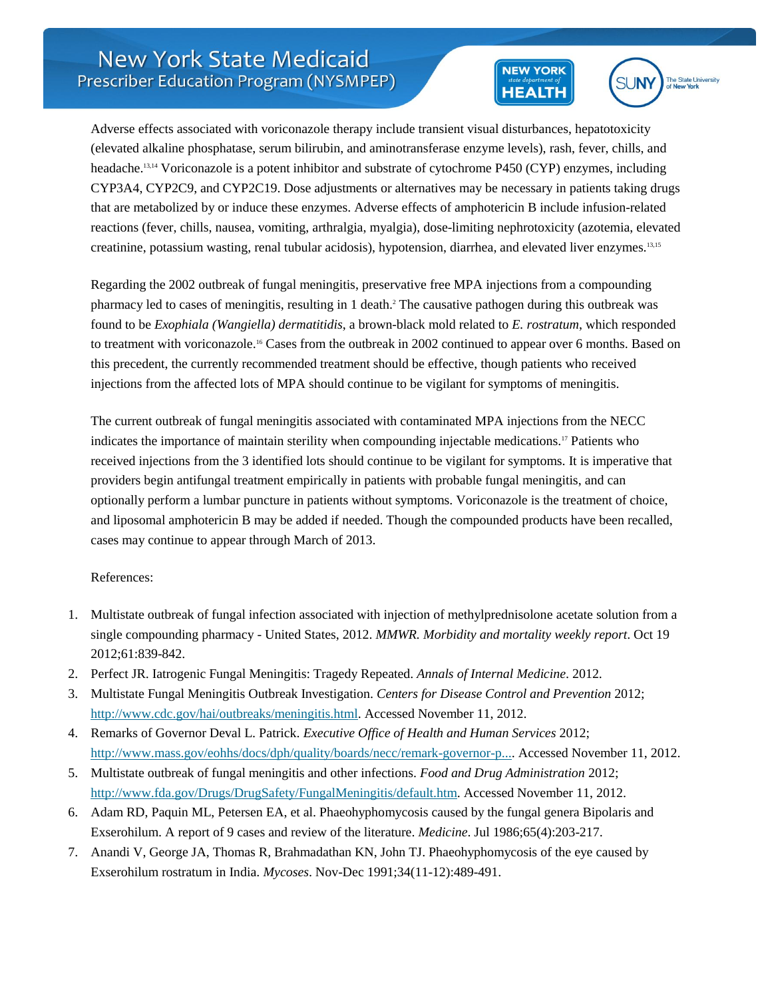



Adverse effects associated with voriconazole therapy include transient visual disturbances, hepatotoxicity (elevated alkaline phosphatase, serum bilirubin, and aminotransferase enzyme levels), rash, fever, chills, and headache.13,14 Voriconazole is a potent inhibitor and substrate of cytochrome P450 (CYP) enzymes, including CYP3A4, CYP2C9, and CYP2C19. Dose adjustments or alternatives may be necessary in patients taking drugs that are metabolized by or induce these enzymes. Adverse effects of amphotericin B include infusion-related reactions (fever, chills, nausea, vomiting, arthralgia, myalgia), dose-limiting nephrotoxicity (azotemia, elevated creatinine, potassium wasting, renal tubular acidosis), hypotension, diarrhea, and elevated liver enzymes.13,15

Regarding the 2002 outbreak of fungal meningitis, preservative free MPA injections from a compounding pharmacy led to cases of meningitis, resulting in 1 death.<sup>2</sup> The causative pathogen during this outbreak was found to be *Exophiala (Wangiella) dermatitidis*, a brown-black mold related to *E. rostratum*, which responded to treatment with voriconazole.<sup>16</sup> Cases from the outbreak in 2002 continued to appear over 6 months. Based on this precedent, the currently recommended treatment should be effective, though patients who received injections from the affected lots of MPA should continue to be vigilant for symptoms of meningitis.

The current outbreak of fungal meningitis associated with contaminated MPA injections from the NECC indicates the importance of maintain sterility when compounding injectable medications.<sup>17</sup> Patients who received injections from the 3 identified lots should continue to be vigilant for symptoms. It is imperative that providers begin antifungal treatment empirically in patients with probable fungal meningitis, and can optionally perform a lumbar puncture in patients without symptoms. Voriconazole is the treatment of choice, and liposomal amphotericin B may be added if needed. Though the compounded products have been recalled, cases may continue to appear through March of 2013.

## References:

- 1. Multistate outbreak of fungal infection associated with injection of methylprednisolone acetate solution from a single compounding pharmacy - United States, 2012. *MMWR. Morbidity and mortality weekly report*. Oct 19 2012;61:839-842.
- 2. Perfect JR. Iatrogenic Fungal Meningitis: Tragedy Repeated. *Annals of Internal Medicine*. 2012.
- 3. Multistate Fungal Meningitis Outbreak Investigation. *Centers for Disease Control and Prevention* 2012; [http://www.cdc.gov/hai/outbreaks/meningitis.html.](http://www.cdc.gov/hai/outbreaks/meningitis.html) Accessed November 11, 2012.
- 4. Remarks of Governor Deval L. Patrick. *Executive Office of Health and Human Services* 2012; [http://www.mass.gov/eohhs/docs/dph/quality/boards/necc/remark-governor-p....](http://www.mass.gov/eohhs/docs/dph/quality/boards/necc/remark-governor-patrick-10-23-12.rtf) Accessed November 11, 2012.
- 5. Multistate outbreak of fungal meningitis and other infections. *Food and Drug Administration* 2012; [http://www.fda.gov/Drugs/DrugSafety/FungalMeningitis/default.htm.](http://www.fda.gov/Drugs/DrugSafety/FungalMeningitis/default.htm) Accessed November 11, 2012.
- 6. Adam RD, Paquin ML, Petersen EA, et al. Phaeohyphomycosis caused by the fungal genera Bipolaris and Exserohilum. A report of 9 cases and review of the literature. *Medicine*. Jul 1986;65(4):203-217.
- 7. Anandi V, George JA, Thomas R, Brahmadathan KN, John TJ. Phaeohyphomycosis of the eye caused by Exserohilum rostratum in India. *Mycoses*. Nov-Dec 1991;34(11-12):489-491.